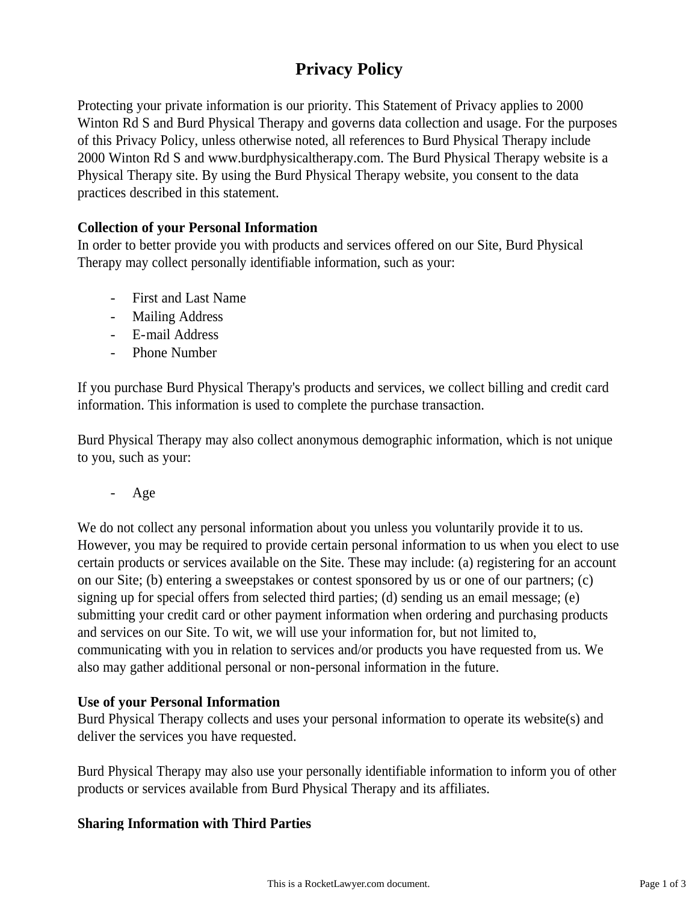# **Privacy Policy**

Protecting your private information is our priority. This Statement of Privacy applies to 2000 Winton Rd S and Burd Physical Therapy and governs data collection and usage. For the purposes of this Privacy Policy, unless otherwise noted, all references to Burd Physical Therapy include 2000 Winton Rd S and www.burdphysicaltherapy.com. The Burd Physical Therapy website is a Physical Therapy site. By using the Burd Physical Therapy website, you consent to the data practices described in this statement.

## **Collection of your Personal Information**

In order to better provide you with products and services offered on our Site, Burd Physical Therapy may collect personally identifiable information, such as your:

- First and Last Name
- Mailing Address
- E-mail Address
- Phone Number

If you purchase Burd Physical Therapy's products and services, we collect billing and credit card information. This information is used to complete the purchase transaction.

Burd Physical Therapy may also collect anonymous demographic information, which is not unique to you, such as your:

Age

We do not collect any personal information about you unless you voluntarily provide it to us. However, you may be required to provide certain personal information to us when you elect to use certain products or services available on the Site. These may include: (a) registering for an account on our Site; (b) entering a sweepstakes or contest sponsored by us or one of our partners; (c) signing up for special offers from selected third parties; (d) sending us an email message; (e) submitting your credit card or other payment information when ordering and purchasing products and services on our Site. To wit, we will use your information for, but not limited to, communicating with you in relation to services and/or products you have requested from us. We also may gather additional personal or non-personal information in the future.

#### **Use of your Personal Information**

Burd Physical Therapy collects and uses your personal information to operate its website(s) and deliver the services you have requested.

Burd Physical Therapy may also use your personally identifiable information to inform you of other products or services available from Burd Physical Therapy and its affiliates.

#### **Sharing Information with Third Parties**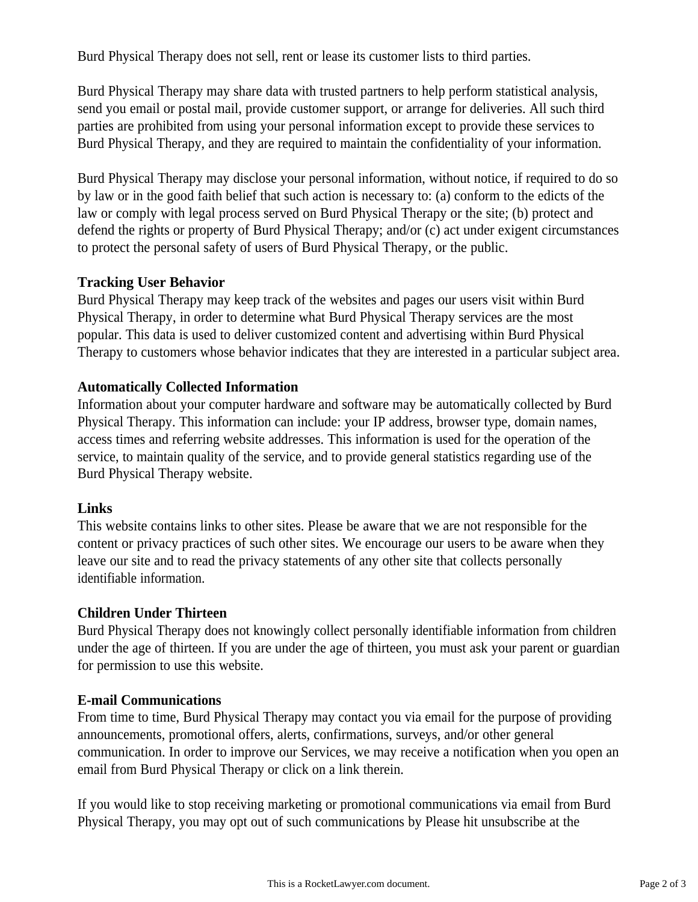Burd Physical Therapy does not sell, rent or lease its customer lists to third parties.

Burd Physical Therapy may share data with trusted partners to help perform statistical analysis, send you email or postal mail, provide customer support, or arrange for deliveries. All such third parties are prohibited from using your personal information except to provide these services to Burd Physical Therapy, and they are required to maintain the confidentiality of your information.

Burd Physical Therapy may disclose your personal information, without notice, if required to do so by law or in the good faith belief that such action is necessary to: (a) conform to the edicts of the law or comply with legal process served on Burd Physical Therapy or the site; (b) protect and defend the rights or property of Burd Physical Therapy; and/or (c) act under exigent circumstances to protect the personal safety of users of Burd Physical Therapy, or the public.

#### **Tracking User Behavior**

Burd Physical Therapy may keep track of the websites and pages our users visit within Burd Physical Therapy, in order to determine what Burd Physical Therapy services are the most popular. This data is used to deliver customized content and advertising within Burd Physical Therapy to customers whose behavior indicates that they are interested in a particular subject area.

## **Automatically Collected Information**

Information about your computer hardware and software may be automatically collected by Burd Physical Therapy. This information can include: your IP address, browser type, domain names, access times and referring website addresses. This information is used for the operation of the service, to maintain quality of the service, and to provide general statistics regarding use of the Burd Physical Therapy website.

#### **Links**

This website contains links to other sites. Please be aware that we are not responsible for the content or privacy practices of such other sites. We encourage our users to be aware when they leave our site and to read the privacy statements of any other site that collects personally identifiable information.

#### **Children Under Thirteen**

Burd Physical Therapy does not knowingly collect personally identifiable information from children under the age of thirteen. If you are under the age of thirteen, you must ask your parent or guardian for permission to use this website.

#### **E-mail Communications**

From time to time, Burd Physical Therapy may contact you via email for the purpose of providing announcements, promotional offers, alerts, confirmations, surveys, and/or other general communication. In order to improve our Services, we may receive a notification when you open an email from Burd Physical Therapy or click on a link therein.

If you would like to stop receiving marketing or promotional communications via email from Burd Physical Therapy, you may opt out of such communications by Please hit unsubscribe at the